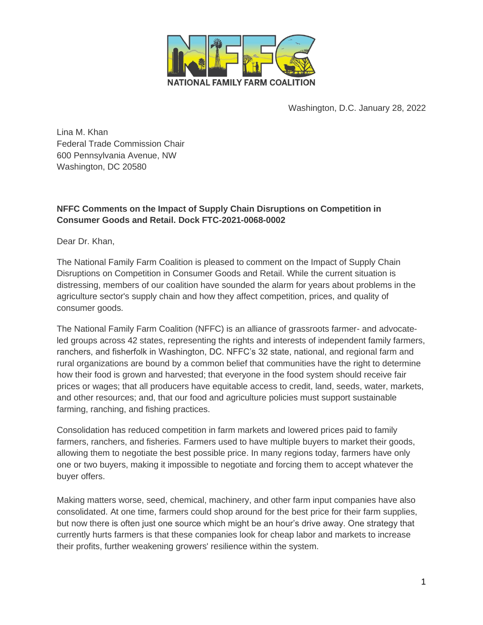

Washington, D.C. January 28, 2022

Lina M. Khan Federal Trade Commission Chair 600 Pennsylvania Avenue, NW Washington, DC 20580

# **NFFC Comments on the Impact of Supply Chain Disruptions on Competition in Consumer Goods and Retail. Dock FTC-2021-0068-0002**

Dear Dr. Khan,

The National Family Farm Coalition is pleased to comment on the Impact of Supply Chain Disruptions on Competition in Consumer Goods and Retail. While the current situation is distressing, members of our coalition have sounded the alarm for years about problems in the agriculture sector's supply chain and how they affect competition, prices, and quality of consumer goods.

The National Family Farm Coalition (NFFC) is an alliance of grassroots farmer- and advocateled groups across 42 states, representing the rights and interests of independent family farmers, ranchers, and fisherfolk in Washington, DC. NFFC's 32 state, national, and regional farm and rural organizations are bound by a common belief that communities have the right to determine how their food is grown and harvested; that everyone in the food system should receive fair prices or wages; that all producers have equitable access to credit, land, seeds, water, markets, and other resources; and, that our food and agriculture policies must support sustainable farming, ranching, and fishing practices.

Consolidation has reduced competition in farm markets and lowered prices paid to family farmers, ranchers, and fisheries. Farmers used to have multiple buyers to market their goods, allowing them to negotiate the best possible price. In many regions today, farmers have only one or two buyers, making it impossible to negotiate and forcing them to accept whatever the buyer offers.

Making matters worse, seed, chemical, machinery, and other farm input companies have also consolidated. At one time, farmers could shop around for the best price for their farm supplies, but now there is often just one source which might be an hour's drive away. One strategy that currently hurts farmers is that these companies look for cheap labor and markets to increase their profits, further weakening growers' resilience within the system.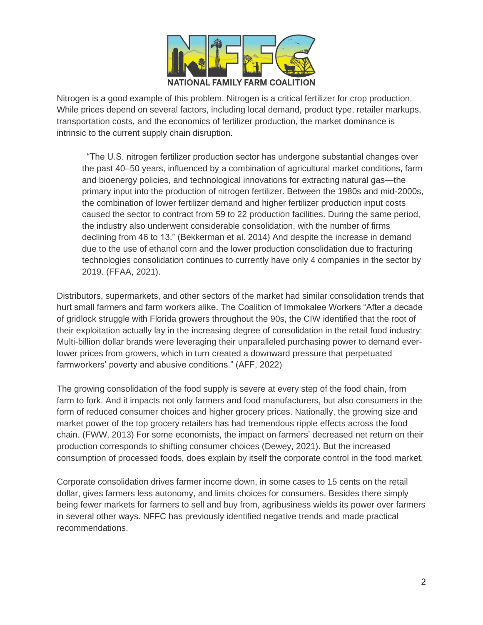

Nitrogen is a good example of this problem. Nitrogen is a critical fertilizer for crop production. While prices depend on several factors, including local demand, product type, retailer markups, transportation costs, and the economics of fertilizer production, the market dominance is intrinsic to the current supply chain disruption.

 "The U.S. nitrogen fertilizer production sector has undergone substantial changes over the past 40–50 years, influenced by a combination of agricultural market conditions, farm and bioenergy policies, and technological innovations for extracting natural gas—the primary input into the production of nitrogen fertilizer. Between the 1980s and mid-2000s, the combination of lower fertilizer demand and higher fertilizer production input costs caused the sector to contract from 59 to 22 production facilities. During the same period, the industry also underwent considerable consolidation, with the number of firms declining from 46 to 13." (Bekkerman et al. 2014) And despite the increase in demand due to the use of ethanol corn and the lower production consolidation due to fracturing technologies consolidation continues to currently have only 4 companies in the sector by 2019. (FFAA, 2021).

Distributors, supermarkets, and other sectors of the market had similar consolidation trends that hurt small farmers and farm workers alike. The Coalition of Immokalee Workers "After a decade of gridlock struggle with Florida growers throughout the 90s, the CIW identified that the root of their exploitation actually lay in the increasing degree of consolidation in the retail food industry: Multi-billion dollar brands were leveraging their unparalleled purchasing power to demand everlower prices from growers, which in turn created a downward pressure that perpetuated farmworkers' poverty and abusive conditions." (AFF, 2022)

The growing consolidation of the food supply is severe at every step of the food chain, from farm to fork. And it impacts not only farmers and food manufacturers, but also consumers in the form of reduced consumer choices and higher grocery prices. Nationally, the growing size and market power of the top grocery retailers has had tremendous ripple effects across the food chain. (FWW, 2013) For some economists, the impact on farmers' decreased net return on their production corresponds to shifting consumer choices (Dewey, 2021). But the increased consumption of processed foods, does explain by itself the corporate control in the food market.

Corporate consolidation drives farmer income down, in some cases to 15 cents on the retail dollar, gives farmers less autonomy, and limits choices for consumers. Besides there simply being fewer markets for farmers to sell and buy from, agribusiness wields its power over farmers in several other ways. NFFC has previously identified negative trends and made practical recommendations.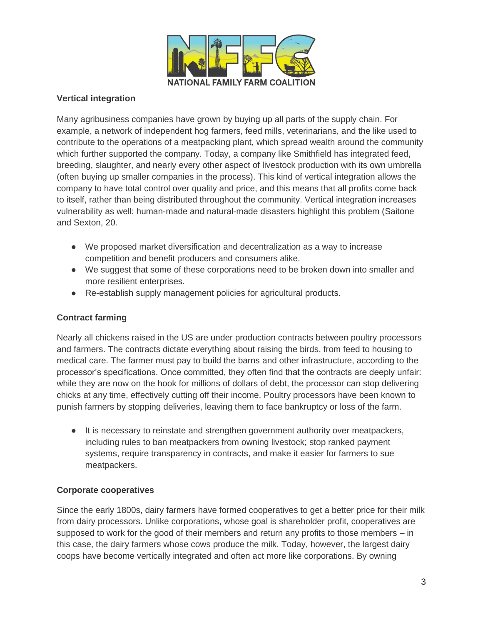

### **Vertical integration**

Many agribusiness companies have grown by buying up all parts of the supply chain. For example, a network of independent hog farmers, feed mills, veterinarians, and the like used to contribute to the operations of a meatpacking plant, which spread wealth around the community which further supported the company. Today, a company like Smithfield has integrated feed, breeding, slaughter, and nearly every other aspect of livestock production with its own umbrella (often buying up smaller companies in the process). This kind of vertical integration allows the company to have total control over quality and price, and this means that all profits come back to itself, rather than being distributed throughout the community. Vertical integration increases vulnerability as well: human-made and natural-made disasters highlight this problem (Saitone and Sexton, 20.

- We proposed market diversification and decentralization as a way to increase competition and benefit producers and consumers alike.
- We suggest that some of these corporations need to be broken down into smaller and more resilient enterprises.
- Re-establish supply management policies for agricultural products.

#### **Contract farming**

Nearly all chickens raised in the US are under production contracts between poultry processors and farmers. The contracts dictate everything about raising the birds, from feed to housing to medical care. The farmer must pay to build the barns and other infrastructure, according to the processor's specifications. Once committed, they often find that the contracts are deeply unfair: while they are now on the hook for millions of dollars of debt, the processor can stop delivering chicks at any time, effectively cutting off their income. Poultry processors have been known to punish farmers by stopping deliveries, leaving them to face bankruptcy or loss of the farm.

● It is necessary to reinstate and strengthen government authority over meatpackers, including rules to ban meatpackers from owning livestock; stop ranked payment systems, require transparency in contracts, and make it easier for farmers to sue meatpackers.

#### **Corporate cooperatives**

Since the early 1800s, dairy farmers have formed cooperatives to get a better price for their milk from dairy processors. Unlike corporations, whose goal is shareholder profit, cooperatives are supposed to work for the good of their members and return any profits to those members – in this case, the dairy farmers whose cows produce the milk. Today, however, the largest dairy coops have become vertically integrated and often act more like corporations. By owning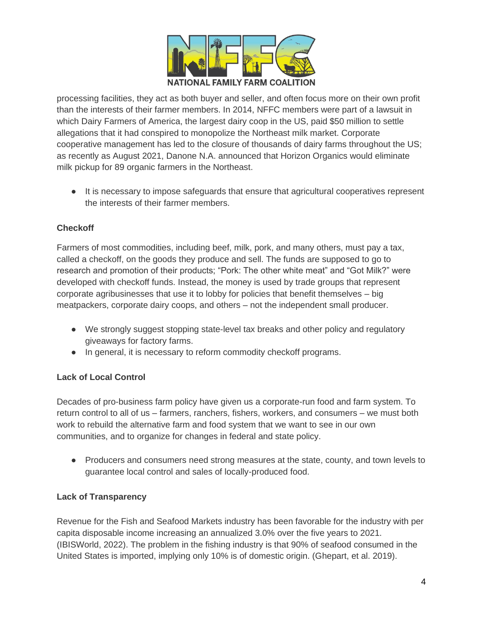

processing facilities, they act as both buyer and seller, and often focus more on their own profit than the interests of their farmer members. In 2014, NFFC members were part of a lawsuit in which Dairy Farmers of America, the largest dairy coop in the US, paid \$50 million to settle allegations that it had conspired to monopolize the Northeast milk market. Corporate cooperative management has led to the closure of thousands of dairy farms throughout the US; as recently as August 2021, Danone N.A. announced that Horizon Organics would eliminate milk pickup for 89 organic farmers in the Northeast.

● It is necessary to impose safeguards that ensure that agricultural cooperatives represent the interests of their farmer members.

# **Checkoff**

Farmers of most commodities, including beef, milk, pork, and many others, must pay a tax, called a checkoff, on the goods they produce and sell. The funds are supposed to go to research and promotion of their products; "Pork: The other white meat" and "Got Milk?" were developed with checkoff funds. Instead, the money is used by trade groups that represent corporate agribusinesses that use it to lobby for policies that benefit themselves – big meatpackers, corporate dairy coops, and others – not the independent small producer.

- We strongly suggest stopping state-level tax breaks and other policy and regulatory giveaways for factory farms.
- In general, it is necessary to reform commodity checkoff programs.

# **Lack of Local Control**

Decades of pro-business farm policy have given us a corporate-run food and farm system. To return control to all of us – farmers, ranchers, fishers, workers, and consumers – we must both work to rebuild the alternative farm and food system that we want to see in our own communities, and to organize for changes in federal and state policy.

• Producers and consumers need strong measures at the state, county, and town levels to guarantee local control and sales of locally-produced food.

### **Lack of Transparency**

Revenue for the Fish and Seafood Markets industry has been favorable for the industry with per capita disposable income increasing an annualized 3.0% over the five years to 2021. (IBISWorld, 2022). The problem in the fishing industry is that 90% of seafood consumed in the United States is imported, implying only 10% is of domestic origin. (Ghepart, et al. 2019).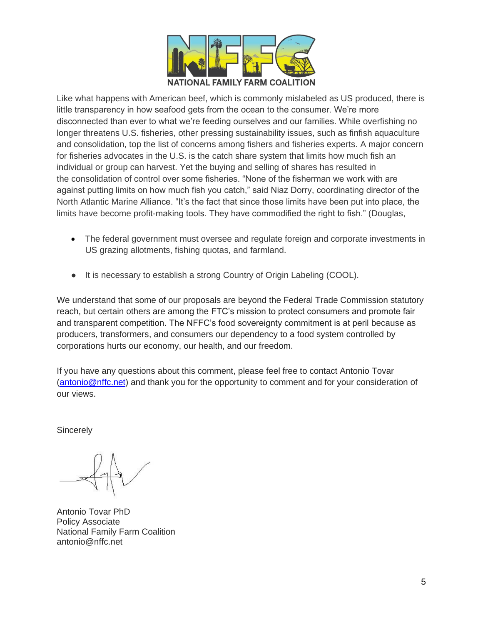

Like what happens with American beef, which is commonly mislabeled as US produced, there is little transparency in how seafood gets from the ocean to the consumer. We're more disconnected than ever to what we're feeding ourselves and our families. While overfishing no longer threatens U.S. fisheries, other pressing sustainability issues, such as finfish aquaculture and consolidation, top the list of concerns among fishers and fisheries experts. A major concern for fisheries advocates in the U.S. is the [catch share](https://www.fisheries.noaa.gov/insight/catch-shares) system that limits how much fish an individual or group can harvest. Yet the buying and selling of shares has resulted in the [consolidation](https://thefern.org/ag_insider/catch-shares-lead-to-consolidation-of-alaskan-fisheries/) of control over some fisheries. "None of the fisherman we work with are against putting limits on how much fish you catch," said Niaz Dorry, coordinating director of the North Atlantic Marine Alliance. "It's the fact that since those limits have been put into place, the limits have become profit-making tools. They have commodified the right to fish." (Douglas,

- The federal government must oversee and regulate foreign and corporate investments in US grazing allotments, fishing quotas, and farmland.
- It is necessary to establish a strong Country of Origin Labeling (COOL).

We understand that some of our proposals are beyond the Federal Trade Commission statutory reach, but certain others are among the FTC's mission to protect consumers and promote fair and transparent competition. The NFFC's food sovereignty commitment is at peril because as producers, transformers, and consumers our dependency to a food system controlled by corporations hurts our economy, our health, and our freedom.

If you have any questions about this comment, please feel free to contact Antonio Tovar [\(antonio@nffc.net\)](mailto:antonio@nffc.net) and thank you for the opportunity to comment and for your consideration of our views.

**Sincerely** 

Antonio Tovar PhD Policy Associate National Family Farm Coalition antonio@nffc.net